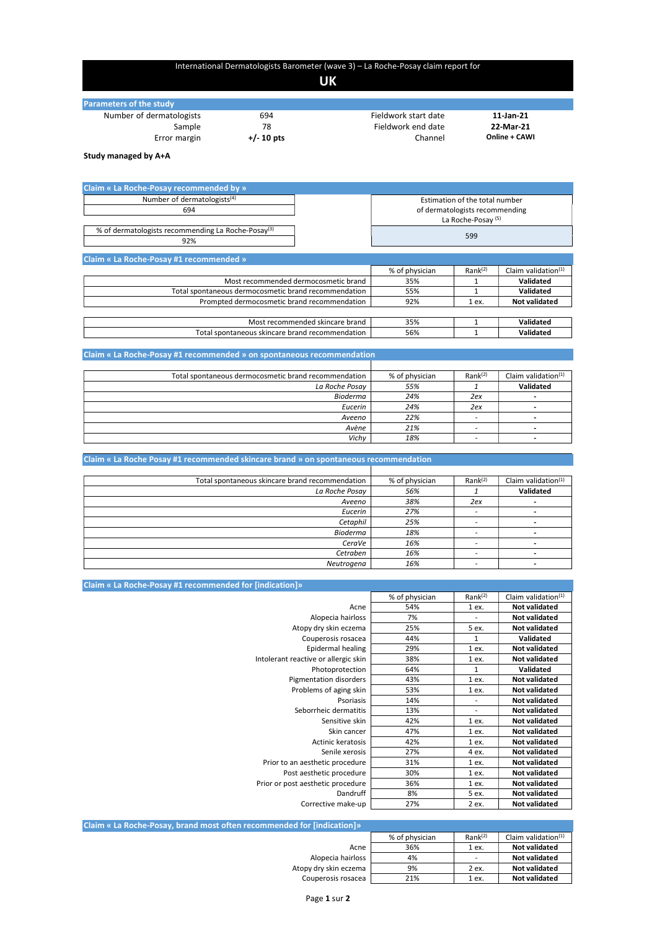## International Dermatologists Barometer (wave 3) – La Roche-Posay claim report for

## UK

| <b>Parameters of the study</b> |              |                      |               |
|--------------------------------|--------------|----------------------|---------------|
| Number of dermatologists       | 694          | Fieldwork start date | 11-Jan-21     |
| Sample                         | 78           | Fieldwork end date   | 22-Mar-21     |
| Error margin                   | $+/- 10$ pts | Channel              | Online + CAWI |

Study managed by A+A

| <b>Claim « La Roche-Posay recommended by »</b>                 |                                |                               |                        |
|----------------------------------------------------------------|--------------------------------|-------------------------------|------------------------|
| Number of dermatologists <sup>(4)</sup>                        | Estimation of the total number |                               |                        |
| 694                                                            | of dermatologists recommending |                               |                        |
|                                                                |                                | La Roche-Posay <sup>(5)</sup> |                        |
| % of dermatologists recommending La Roche-Posay <sup>(3)</sup> |                                | 599                           |                        |
| 92%                                                            |                                |                               |                        |
| Claim « La Roche-Posay #1 recommended »                        |                                |                               |                        |
|                                                                | % of physician                 | Rank <sup>(2)</sup>           | Claim validation $(1)$ |
| Most recommended dermocosmetic brand                           | 35%                            |                               | Validated              |
| Total spontaneous dermocosmetic brand recommendation           | 55%                            |                               | Validated              |
| Prompted dermocosmetic brand recommendation                    | 92%                            | 1 ex.                         | <b>Not validated</b>   |
|                                                                |                                |                               |                        |
| Most recommended skincare brand                                | 35%                            |                               | Validated              |
| Total spontaneous skincare brand recommendation                | 56%                            |                               | Validated              |

|  |  | Claim « La Roche-Posay #1 recommended » on spontaneous recommendation |  |
|--|--|-----------------------------------------------------------------------|--|
|--|--|-----------------------------------------------------------------------|--|

| Total spontaneous dermocosmetic brand recommendation | % of physician | Rank <sup>(2)</sup> | Claim validation $(1)$ |
|------------------------------------------------------|----------------|---------------------|------------------------|
| La Roche Posay                                       | 55%            |                     | Validated              |
| Bioderma                                             | 24%            | 2ex                 |                        |
| Eucerin                                              | 24%            | 2ex                 |                        |
| Aveeno                                               | 22%            |                     |                        |
| Avène                                                | 21%            |                     |                        |
| Vichy                                                | 18%            |                     |                        |

| Claim « La Roche Posay #1 recommended skincare brand » on spontaneous recommendation |                |                     |                        |
|--------------------------------------------------------------------------------------|----------------|---------------------|------------------------|
|                                                                                      |                |                     |                        |
| Total spontaneous skincare brand recommendation                                      | % of physician | Rank <sup>(2)</sup> | Claim validation $(1)$ |
| La Roche Posay                                                                       | 56%            |                     | <b>Validated</b>       |
| Aveeno                                                                               | 38%            | 2ex                 |                        |
| Eucerin                                                                              | 27%            |                     |                        |
| Cetaphil                                                                             | 25%            |                     |                        |
| Bioderma                                                                             | 18%            |                     |                        |
| CeraVe                                                                               | 16%            |                     |                        |
| Cetraben                                                                             | 16%            |                     |                        |
| Neutrogena                                                                           | 16%            |                     |                        |

| Claim « La Roche-Posay #1 recommended for [indication]» |                |                          |                        |
|---------------------------------------------------------|----------------|--------------------------|------------------------|
|                                                         | % of physician | Rank <sup>(2)</sup>      | Claim validation $(1)$ |
| Acne                                                    | 54%            | 1 ex.                    | <b>Not validated</b>   |
| Alopecia hairloss                                       | 7%             |                          | <b>Not validated</b>   |
| Atopy dry skin eczema                                   | 25%            | 5 ex.                    | <b>Not validated</b>   |
| Couperosis rosacea                                      | 44%            | 1                        | Validated              |
| Epidermal healing                                       | 29%            | 1 ex.                    | <b>Not validated</b>   |
| Intolerant reactive or allergic skin                    | 38%            | 1 ex.                    | <b>Not validated</b>   |
| Photoprotection                                         | 64%            | 1                        | Validated              |
| Pigmentation disorders                                  | 43%            | 1 ex.                    | <b>Not validated</b>   |
| Problems of aging skin                                  | 53%            | 1 ex.                    | <b>Not validated</b>   |
| Psoriasis                                               | 14%            | $\overline{\phantom{a}}$ | <b>Not validated</b>   |
| Seborrheic dermatitis                                   | 13%            | $\overline{\phantom{a}}$ | <b>Not validated</b>   |
| Sensitive skin                                          | 42%            | 1 ex.                    | <b>Not validated</b>   |
| Skin cancer                                             | 47%            | 1 ex.                    | <b>Not validated</b>   |
| Actinic keratosis                                       | 42%            | 1 ex.                    | <b>Not validated</b>   |
| Senile xerosis                                          | 27%            | 4 ex.                    | <b>Not validated</b>   |
| Prior to an aesthetic procedure                         | 31%            | 1 ex.                    | <b>Not validated</b>   |
| Post aesthetic procedure                                | 30%            | 1 ex.                    | <b>Not validated</b>   |
| Prior or post aesthetic procedure                       | 36%            | 1 ex.                    | <b>Not validated</b>   |
| Dandruff                                                | 8%             | 5 ex.                    | <b>Not validated</b>   |
| Corrective make-up                                      | 27%            | 2 ex.                    | Not validated          |

| Claim « La Roche-Posay, brand most often recommended for [indication]» |                |                          |                                 |
|------------------------------------------------------------------------|----------------|--------------------------|---------------------------------|
|                                                                        | % of physician | Rank <sup>(2)</sup>      | Claim validation <sup>(1)</sup> |
| Acne                                                                   | 36%            | 1 ex.                    | <b>Not validated</b>            |
| Alopecia hairloss                                                      | 4%             | $\overline{\phantom{0}}$ | <b>Not validated</b>            |
| Atopy dry skin eczema                                                  | 9%             | 2 ex.                    | <b>Not validated</b>            |
| Couperosis rosacea                                                     | 21%            | 1 ex.                    | <b>Not validated</b>            |